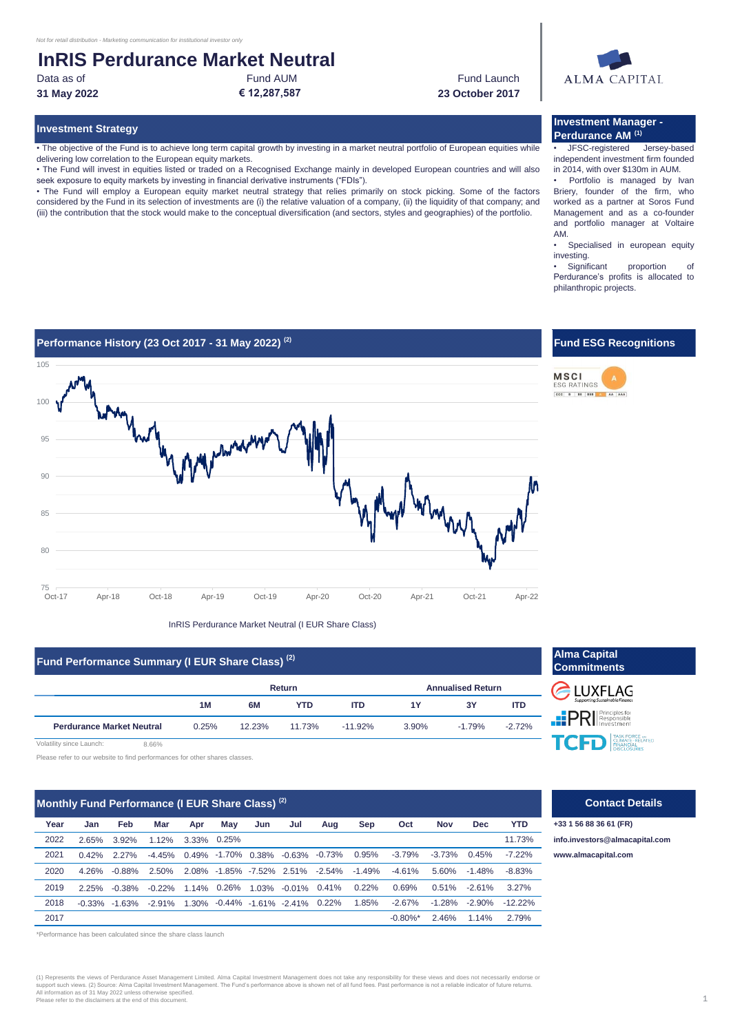delivering low correlation to the European equity markets.

## **InRIS Perdurance Market Neutral**<br>Data as of<br>Fund AUM

seek exposure to equity markets by investing in financial derivative instruments ("FDIs").

**31 May 2022 € 12,287,587 23 October 2017**

• The objective of the Fund is to achieve long term capital growth by investing in a market neutral portfolio of European equities while

• The Fund will invest in equities listed or traded on a Recognised Exchange mainly in developed European countries and will also

• The Fund will employ a European equity market neutral strategy that relies primarily on stock picking. Some of the factors considered by the Fund in its selection of investments are (i) the relative valuation of a company, (ii) the liquidity of that company; and (iii) the contribution that the stock would make to the conceptual diversification (and sectors, styles and geographies) of the portfolio.

Data as of **Fund AUM** Fund AUM Fund AUM **Fund Launch** 

# **ALMA CAPITAL**

### **Investment Strategy Investment Manager - Perdurance AM (1)**

• JFSC-registered- Jersey-based independent investment firm founded in 2014, with over \$130m in AUM.

Portfolio is managed by Ivan Briery, founder of the firm, who worked as a partner at Soros Fund Management and as a co-founder and portfolio manager at Voltaire AM.

• Specialised in european equity investing.

• Significant proportion of Perdurance's profits is allocated to philanthropic projects.

**Fund ESG Recognitions**

**MSCI** 



InRIS Perdurance Market Neutral (I EUR Share Class)

## **Fund Performance Summary (I EUR Share Class)<sup>(2)</sup> <b>Alma Capital Alma Capital Alma Capital Alma Capital Alma Capital Alma Capital Alma Capital Alma Capital Alma Capital Alma Capital Alma Capital Alma Capit**

|                                  |       |        | Return     |            | <b>Annualised Return</b> |          |          |  |
|----------------------------------|-------|--------|------------|------------|--------------------------|----------|----------|--|
|                                  | 1M    | 6M     | <b>YTD</b> | <b>ITD</b> | 1Y                       | 3Υ       | ITD      |  |
| <b>Perdurance Market Neutral</b> | 0.25% | 12.23% | 11.73%     | $-11.92\%$ | 3.90%                    | $-1.79%$ | $-2.72%$ |  |

Volatility since Launch: 8.66%

Please refer to our website to find performances for other shares classes.

| Monthly Fund Performance (I EUR Share Class) <sup>(2)</sup> |           |           |          |       |             |     |                                     |          |           |                        |            |            |            |
|-------------------------------------------------------------|-----------|-----------|----------|-------|-------------|-----|-------------------------------------|----------|-----------|------------------------|------------|------------|------------|
| Year                                                        | Jan       | Feb       | Mar      | Apr   | May         | Jun | Jul                                 | Aug      | Sep       | Oct                    | <b>Nov</b> | <b>Dec</b> | <b>YTD</b> |
| 2022                                                        | 2.65%     | 3.92%     | 1.12%    | 3.33% | 0.25%       |     |                                     |          |           |                        |            |            | 11.73%     |
| 2021                                                        | $0.42\%$  | $2.27\%$  | $-4.45%$ |       |             |     | $0.49\%$ -1.70% 0.38% -0.63% -0.73% |          | 0.95%     | $-3.79%$               | $-3.73%$   | 0.45%      | $-7.22%$   |
| 2020                                                        | 4 26%     | $-0.88%$  | 2.50%    |       |             |     | 2.08% -1.85% -7.52% 2.51%           | -2.54%   | $-1.49\%$ | $-4.61%$               | 5.60%      | $-1.48%$   | $-8.83%$   |
| 2019                                                        | 2.25%     | $-0.38\%$ | $-0.22%$ |       | 1.14% 0.26% |     | $1.03\% -0.01\%$                    | 0.41%    | 0.22%     | 0.69%                  | 0.51%      | $-2.61%$   | 3.27%      |
| 2018                                                        | $-0.33\%$ | $-1.63%$  | -2.91%   |       |             |     | 1.30% -0.44% -1.61% -2.41%          | $0.22\%$ | 1.85%     | $-2.67%$               | $-1.28%$   | $-2.90\%$  | $-12.22%$  |
| 2017                                                        |           |           |          |       |             |     |                                     |          |           | $-0.80\%$ <sup>*</sup> | 2.46%      | 1.14%      | 2.79%      |

\*Performance has been calculated since the share class launch

(1) Represents the views of Perdurance Asset Management Limited. Alma Capital Investment Management does not take any responsibility for these views and does not necessarily endorse or<br>support such views. (2) Source: Alma Please refer to the disclaimers at the end of this document.



**PRI** Responsible TASK FORCE ON TASK FORCE ON

#### **Contact Details**

**+33 1 56 88 36 61 (FR) [info.in](mailto:info.investors@almacapital.com)vestors@almacapital.com** -3.79% -3.73% 0.45% -7.22% **[www.a](http://www.almacapital.com/)lmacapital.com**

## ESG RATINGS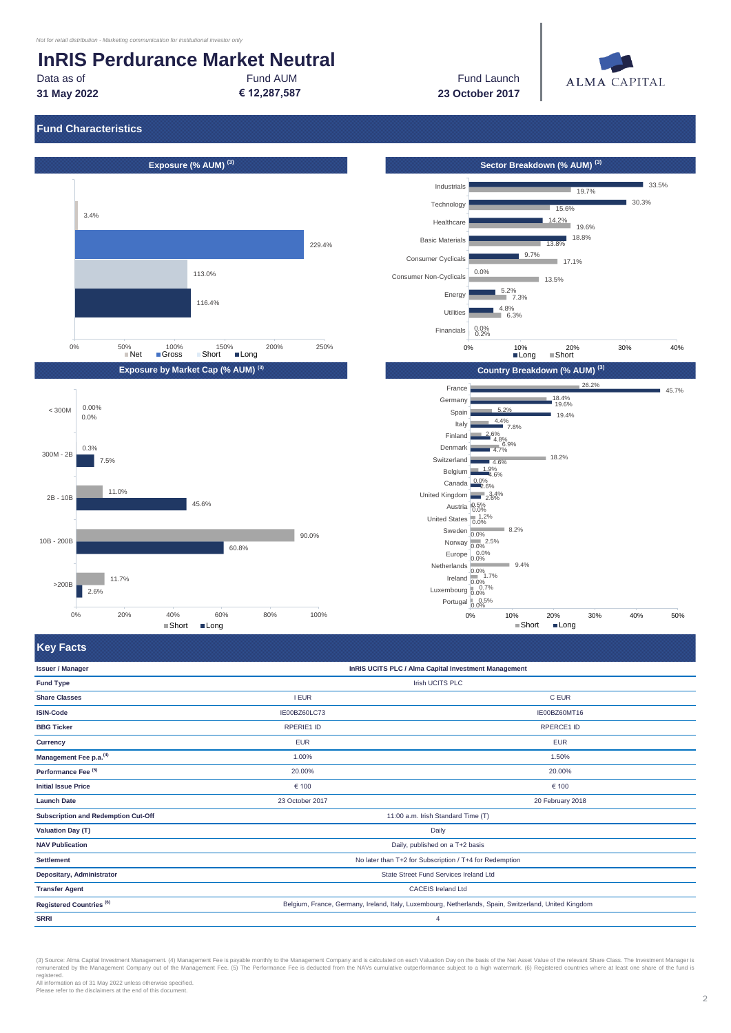## **InRIS Perdurance Market Neutral**

**31 May 2022**

Data as of Fund AUM

**€ 12,287,587 23 October 2017** Fund Launch



## **Fund Characteristics**









**Key Facts**

| <b>Issuer / Manager</b>             | InRIS UCITS PLC / Alma Capital Investment Management                                                  |                  |  |  |  |  |
|-------------------------------------|-------------------------------------------------------------------------------------------------------|------------------|--|--|--|--|
| <b>Fund Type</b>                    | Irish UCITS PLC                                                                                       |                  |  |  |  |  |
| <b>Share Classes</b>                | <b>I EUR</b>                                                                                          | C EUR            |  |  |  |  |
| <b>ISIN-Code</b>                    | IE00BZ60LC73                                                                                          | IE00BZ60MT16     |  |  |  |  |
| <b>BBG Ticker</b>                   | RPERIE1 ID                                                                                            | RPERCE1 ID       |  |  |  |  |
| Currency                            | <b>EUR</b>                                                                                            | <b>EUR</b>       |  |  |  |  |
| Management Fee p.a. <sup>(4)</sup>  | 1.00%                                                                                                 | 1.50%            |  |  |  |  |
| Performance Fee <sup>(5)</sup>      | 20.00%                                                                                                | 20.00%           |  |  |  |  |
| <b>Initial Issue Price</b>          | € 100                                                                                                 | € 100            |  |  |  |  |
| <b>Launch Date</b>                  | 23 October 2017                                                                                       | 20 February 2018 |  |  |  |  |
| Subscription and Redemption Cut-Off | 11:00 a.m. Irish Standard Time (T)                                                                    |                  |  |  |  |  |
| <b>Valuation Day (T)</b>            | Daily                                                                                                 |                  |  |  |  |  |
| <b>NAV Publication</b>              | Daily, published on a T+2 basis                                                                       |                  |  |  |  |  |
| <b>Settlement</b>                   | No later than T+2 for Subscription / T+4 for Redemption                                               |                  |  |  |  |  |
| Depositary, Administrator           | State Street Fund Services Ireland Ltd                                                                |                  |  |  |  |  |
| <b>Transfer Agent</b>               | <b>CACEIS Ireland Ltd</b>                                                                             |                  |  |  |  |  |
| Registered Countries <sup>(6)</sup> | Belgium, France, Germany, Ireland, Italy, Luxembourg, Netherlands, Spain, Switzerland, United Kingdom |                  |  |  |  |  |
| <b>SRRI</b>                         | $\overline{4}$                                                                                        |                  |  |  |  |  |

(3) Source: Alma Capital Investment Management. (4) Management Fee is payable monthly to the Management Company and is calculated on each Valuation Day on the basis of the Net Asset Value of the relevant Share Class. The I registered.

All information as of 31 May 2022 unless otherwise specified. Please refer to the disclaimers at the end of this document.

2